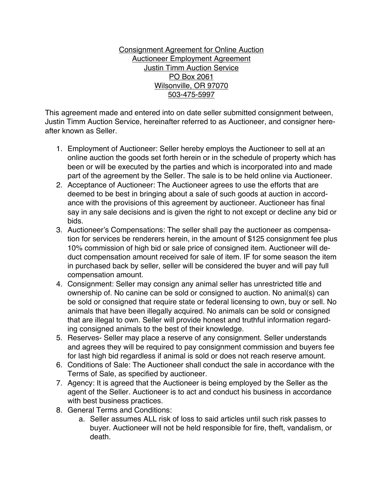Consignment Agreement for Online Auction Auctioneer Employment Agreement Justin Timm Auction Service PO Box 2061 Wilsonville, OR 97070 503-475-5997

This agreement made and entered into on date seller submitted consignment between, Justin Timm Auction Service, hereinafter referred to as Auctioneer, and consigner hereafter known as Seller.

- 1. Employment of Auctioneer: Seller hereby employs the Auctioneer to sell at an online auction the goods set forth herein or in the schedule of property which has been or will be executed by the parties and which is incorporated into and made part of the agreement by the Seller. The sale is to be held online via Auctioneer.
- 2. Acceptance of Auctioneer: The Auctioneer agrees to use the efforts that are deemed to be best in bringing about a sale of such goods at auction in accordance with the provisions of this agreement by auctioneer. Auctioneer has final say in any sale decisions and is given the right to not except or decline any bid or bids.
- 3. Auctioneer's Compensations: The seller shall pay the auctioneer as compensation for services be renderers herein, in the amount of \$125 consignment fee plus 10% commission of high bid or sale price of consigned item. Auctioneer will deduct compensation amount received for sale of item. IF for some season the item in purchased back by seller, seller will be considered the buyer and will pay full compensation amount.
- 4. Consignment: Seller may consign any animal seller has unrestricted title and ownership of. No canine can be sold or consigned to auction. No animal(s) can be sold or consigned that require state or federal licensing to own, buy or sell. No animals that have been illegally acquired. No animals can be sold or consigned that are illegal to own. Seller will provide honest and truthful information regarding consigned animals to the best of their knowledge.
- 5. Reserves- Seller may place a reserve of any consignment. Seller understands and agrees they will be required to pay consignment commission and buyers fee for last high bid regardless if animal is sold or does not reach reserve amount.
- 6. Conditions of Sale: The Auctioneer shall conduct the sale in accordance with the Terms of Sale, as specified by auctioneer.
- 7. Agency: It is agreed that the Auctioneer is being employed by the Seller as the agent of the Seller. Auctioneer is to act and conduct his business in accordance with best business practices.
- 8. General Terms and Conditions:
	- a. Seller assumes ALL risk of loss to said articles until such risk passes to buyer. Auctioneer will not be held responsible for fire, theft, vandalism, or death.